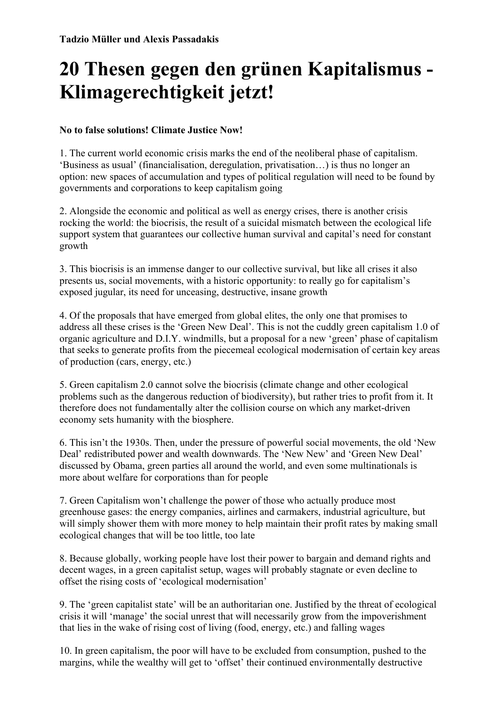## **20 Thesen gegen den grünen Kapitalismus - Klimagerechtigkeit jetzt!**

## **No to false solutions! Climate Justice Now!**

1. The current world economic crisis marks the end of the neoliberal phase of capitalism. 'Business as usual' (financialisation, deregulation, privatisation…) is thus no longer an option: new spaces of accumulation and types of political regulation will need to be found by governments and corporations to keep capitalism going

2. Alongside the economic and political as well as energy crises, there is another crisis rocking the world: the biocrisis, the result of a suicidal mismatch between the ecological life support system that guarantees our collective human survival and capital's need for constant growth

3. This biocrisis is an immense danger to our collective survival, but like all crises it also presents us, social movements, with a historic opportunity: to really go for capitalism's exposed jugular, its need for unceasing, destructive, insane growth

4. Of the proposals that have emerged from global elites, the only one that promises to address all these crises is the 'Green New Deal'. This is not the cuddly green capitalism 1.0 of organic agriculture and D.I.Y. windmills, but a proposal for a new 'green' phase of capitalism that seeks to generate profits from the piecemeal ecological modernisation of certain key areas of production (cars, energy, etc.)

5. Green capitalism 2.0 cannot solve the biocrisis (climate change and other ecological problems such as the dangerous reduction of biodiversity), but rather tries to profit from it. It therefore does not fundamentally alter the collision course on which any market-driven economy sets humanity with the biosphere.

6. This isn't the 1930s. Then, under the pressure of powerful social movements, the old 'New Deal' redistributed power and wealth downwards. The 'New New' and 'Green New Deal' discussed by Obama, green parties all around the world, and even some multinationals is more about welfare for corporations than for people

7. Green Capitalism won't challenge the power of those who actually produce most greenhouse gases: the energy companies, airlines and carmakers, industrial agriculture, but will simply shower them with more money to help maintain their profit rates by making small ecological changes that will be too little, too late

8. Because globally, working people have lost their power to bargain and demand rights and decent wages, in a green capitalist setup, wages will probably stagnate or even decline to offset the rising costs of 'ecological modernisation'

9. The 'green capitalist state' will be an authoritarian one. Justified by the threat of ecological crisis it will 'manage' the social unrest that will necessarily grow from the impoverishment that lies in the wake of rising cost of living (food, energy, etc.) and falling wages

10. In green capitalism, the poor will have to be excluded from consumption, pushed to the margins, while the wealthy will get to 'offset' their continued environmentally destructive